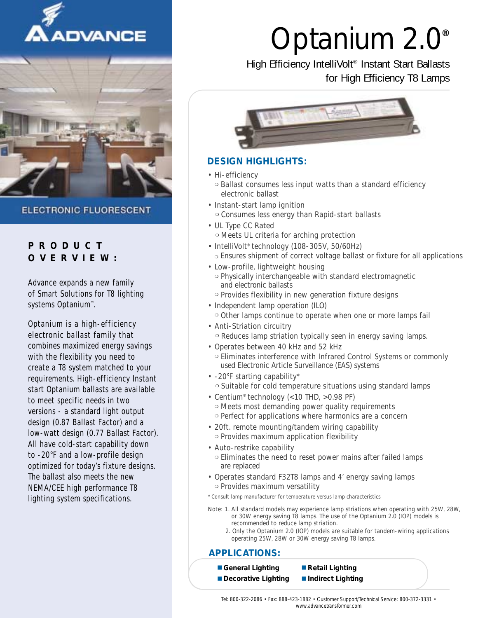



**ELECTRONIC FLUORESCENT** 

## **PRODUCT OVERVIEW:**

Advance expands a new family of Smart Solutions for T8 lighting systems Optanium™ .

Optanium is a high-efficiency electronic ballast family that combines maximized energy savings with the flexibility you need to create a T8 system matched to your requirements. High-efficiency Instant start Optanium ballasts are available to meet specific needs in two versions - a standard light output design (0.87 Ballast Factor) and a low-watt design (0.77 Ballast Factor). All have cold-start capability down to -20°F and a low-profile design optimized for today's fixture designs. The ballast also meets the new NEMA/CEE high performance T8 lighting system specifications.

# Optanium 2.0*®*

## High Efficiency IntelliVolt® Instant Start Ballasts for High Efficiency T8 Lamps



## **DESIGN HIGHLIGHTS:**

• Hi-efficiency

❍ Ballast consumes less input watts than a standard efficiency electronic ballast

- Instant-start lamp ignition ❍ Consumes less energy than Rapid-start ballasts
- UL Type CC Rated
	- ❍ Meets UL criteria for arching protection
- IntelliVolt<sup>®</sup> technology (108-305V, 50/60Hz) ❍ Ensures shipment of correct voltage ballast or fixture for all applications
- Low-profile, lightweight housing ❍ Physically interchangeable with standard electromagnetic and electronic ballasts ❍ Provides flexibility in new generation fixture designs
- Independent lamp operation (ILO) ❍ Other lamps continue to operate when one or more lamps fail
- Anti-Striation circuitry ❍ Reduces lamp striation typically seen in energy saving lamps.
- Operates between 40 kHz and 52 kHz ❍ Eliminates interference with Infrared Control Systems or commonly used Electronic Article Surveillance (EAS) systems
- -20°F starting capability\* ❍ Suitable for cold temperature situations using standard lamps
- Centium® technology (<10 THD, >0.98 PF) ❍ Meets most demanding power quality requirements
	- ❍ Perfect for applications where harmonics are a concern
- 20ft. remote mounting/tandem wiring capability ❍ Provides maximum application flexibility
- Auto-restrike capability ❍ Eliminates the need to reset power mains after failed lamps are replaced
- Operates standard F32T8 lamps and 4' energy saving lamps ❍ Provides maximum versatility
- \* Consult lamp manufacturer for temperature versus lamp characteristics
- Note: 1. All standard models may experience lamp striations when operating with 25W, 28W, or 30W energy saving T8 lamps. The use of the Optanium 2.0 (IOP) models is recommended to reduce lamp striation.
	- 2. Only the Optanium 2.0 (IOP) models are suitable for tandem-wiring applications operating 25W, 28W or 30W energy saving T8 lamps.

### **APPLICATIONS:**

- *General Lighting Retail Lighting* 
	-
- *Decorative Lighting Indirect Lighting*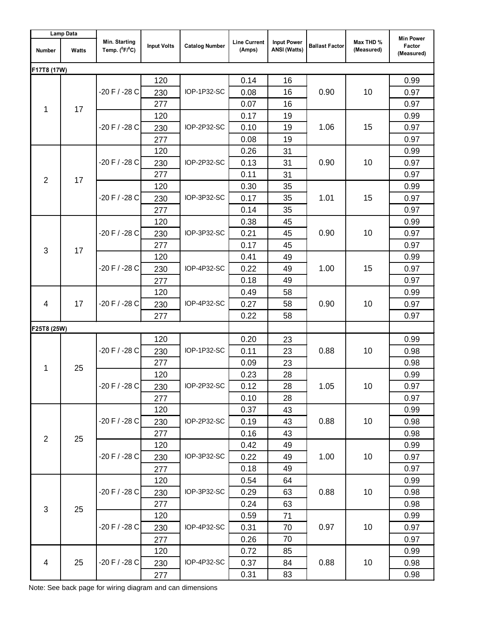| <b>Lamp Data</b> |       |                                    |                    |                       |                               |                                           |                       |                         |                                          |
|------------------|-------|------------------------------------|--------------------|-----------------------|-------------------------------|-------------------------------------------|-----------------------|-------------------------|------------------------------------------|
| <b>Number</b>    | Watts | Min. Starting<br>Temp. $(^0F/^0C)$ | <b>Input Volts</b> | <b>Catalog Number</b> | <b>Line Current</b><br>(Amps) | <b>Input Power</b><br><b>ANSI (Watts)</b> | <b>Ballast Factor</b> | Max THD %<br>(Measured) | <b>Min Power</b><br>Factor<br>(Measured) |
| F17T8 (17W)      |       |                                    |                    |                       |                               |                                           |                       |                         |                                          |
| 1                | 17    |                                    | 120                |                       | 0.14                          | 16                                        | 0.90                  |                         | 0.99                                     |
|                  |       | $-20 F / -28 C$                    | 230                | IOP-1P32-SC           | 0.08                          | 16                                        |                       | 10                      | 0.97                                     |
|                  |       |                                    | 277                |                       | 0.07                          | 16                                        |                       |                         | 0.97                                     |
|                  |       |                                    | 120                |                       | 0.17                          | 19                                        |                       |                         | 0.99                                     |
|                  |       | $-20$ F / $-28$ C                  | 230                | IOP-2P32-SC           | 0.10                          | 19                                        | 1.06                  | 15                      | 0.97                                     |
|                  |       |                                    | 277                |                       | 0.08                          | 19                                        |                       |                         | 0.97                                     |
|                  |       |                                    | 120                |                       | 0.26                          | 31                                        |                       |                         | 0.99                                     |
|                  |       | $-20$ F / $-28$ C                  | 230                | IOP-2P32-SC           | 0.13                          | 31                                        | 0.90                  | 10                      | 0.97                                     |
| $\overline{2}$   | 17    |                                    | 277                |                       | 0.11                          | 31                                        |                       |                         | 0.97                                     |
|                  |       |                                    | 120                |                       | 0.30                          | 35                                        |                       |                         | 0.99                                     |
|                  |       | $-20 F / -28 C$                    | 230                | IOP-3P32-SC           | 0.17                          | 35                                        | 1.01                  | 15                      | 0.97                                     |
|                  |       |                                    | 277                |                       | 0.14                          | 35                                        |                       |                         | 0.97                                     |
|                  |       |                                    | 120                |                       | 0.38                          | 45                                        |                       | 10                      | 0.99                                     |
|                  |       | $-20 F / -28 C$                    | 230                | IOP-3P32-SC           | 0.21                          | 45                                        | 0.90                  |                         | 0.97                                     |
| 3                | 17    |                                    | 277                |                       | 0.17                          | 45                                        |                       |                         | 0.97                                     |
|                  |       | $-20 F / -28 C$                    | 120                | IOP-4P32-SC           | 0.41                          | 49                                        | 1.00                  | 15                      | 0.99                                     |
|                  |       |                                    | 230                |                       | 0.22                          | 49                                        |                       |                         | 0.97                                     |
|                  |       |                                    | 277                |                       | 0.18                          | 49                                        |                       |                         | 0.97                                     |
|                  | 17    |                                    | 120                | IOP-4P32-SC           | 0.49                          | 58                                        |                       |                         | 0.99                                     |
| $\overline{4}$   |       | $-20 F / -28 C$                    | 230                |                       | 0.27                          | 58                                        | 0.90                  | 10                      | 0.97                                     |
|                  |       |                                    | 277                |                       | 0.22                          | 58                                        |                       |                         | 0.97                                     |
| F25T8 (25W)      |       |                                    |                    |                       |                               |                                           |                       |                         |                                          |
|                  | 25    | $-20 F / -28 C$                    | 120                | IOP-1P32-SC           | 0.20                          | 23                                        | 0.88                  |                         | 0.99                                     |
|                  |       |                                    | 230                |                       | 0.11                          | 23                                        |                       | 10                      | 0.98                                     |
| 1                |       |                                    | 277                |                       | 0.09                          | 23                                        |                       |                         | 0.98                                     |
|                  |       | $-20 F / -28 C$                    | 120                | IOP-2P32-SC           | 0.23                          | 28                                        | 1.05                  | 10                      | 0.99                                     |
|                  |       |                                    | 230                |                       | 0.12                          | 28                                        |                       |                         | 0.97                                     |
|                  |       |                                    | 277                |                       | 0.10                          | 28                                        |                       |                         | 0.97                                     |
|                  |       |                                    | 120                | IOP-2P32-SC           | 0.37                          | 43                                        | 0.88                  | 10                      | 0.99                                     |
|                  |       | $-20$ F / $-28$ C                  | 230                |                       | 0.19                          | 43                                        |                       |                         | 0.98                                     |
| $\overline{2}$   | 25    |                                    | 277                |                       | 0.16                          | 43                                        |                       |                         | 0.98                                     |
|                  |       |                                    | 120                |                       | 0.42                          | 49                                        |                       |                         | 0.99                                     |
|                  |       | $-20$ F / $-28$ C                  | 230                | IOP-3P32-SC           | 0.22                          | 49                                        | 1.00                  | 10                      | 0.97                                     |
|                  |       |                                    | 277                |                       | 0.18                          | 49                                        |                       |                         | 0.97                                     |
|                  |       |                                    | 120                |                       | 0.54                          | 64                                        |                       |                         | 0.99                                     |
|                  |       | $-20$ F / $-28$ C                  | 230                | IOP-3P32-SC           | 0.29                          | 63                                        | 0.88                  | 10                      | 0.98                                     |
| $\mathfrak{S}$   | 25    |                                    | 277                |                       | 0.24                          | 63                                        |                       |                         | 0.98                                     |
|                  |       |                                    | 120                |                       | 0.59                          | 71                                        |                       |                         | 0.99                                     |
|                  |       | $-20$ F / -28 C                    | 230                | IOP-4P32-SC           | 0.31                          | 70                                        | 0.97                  | 10                      | 0.97                                     |
|                  |       |                                    | 277                |                       | 0.26                          | 70                                        |                       |                         | 0.97                                     |
|                  |       |                                    | 120                |                       | 0.72                          | 85                                        |                       |                         | 0.99                                     |
| $\overline{4}$   | 25    | $-20$ F / $-28$ C                  | 230                | IOP-4P32-SC           | 0.37                          | 84                                        | 0.88                  | 10                      | 0.98                                     |
|                  |       |                                    | 277                |                       | 0.31                          | 83                                        |                       |                         | 0.98                                     |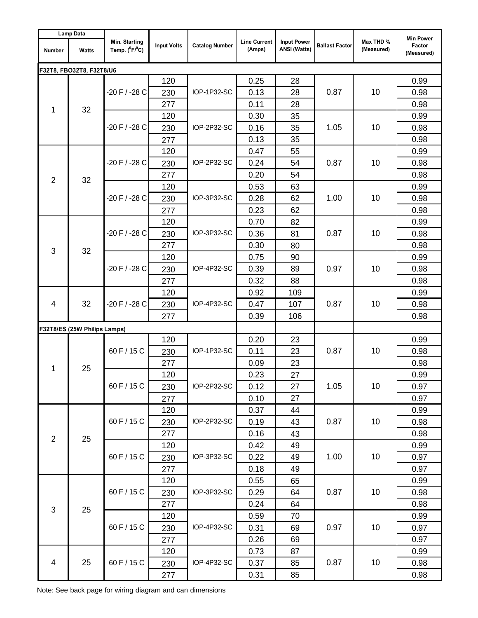| <b>Lamp Data</b> |                              |                                    |                    |                       |                               |                                           |                       |                         |                                          |
|------------------|------------------------------|------------------------------------|--------------------|-----------------------|-------------------------------|-------------------------------------------|-----------------------|-------------------------|------------------------------------------|
| <b>Number</b>    | Watts                        | Min. Starting<br>Temp. $(^0F/^0C)$ | <b>Input Volts</b> | <b>Catalog Number</b> | <b>Line Current</b><br>(Amps) | <b>Input Power</b><br><b>ANSI (Watts)</b> | <b>Ballast Factor</b> | Max THD %<br>(Measured) | <b>Min Power</b><br>Factor<br>(Measured) |
|                  | F32T8, FBO32T8, F32T8/U6     |                                    |                    |                       |                               |                                           |                       |                         |                                          |
| 1                |                              |                                    | 120                |                       | 0.25                          | 28                                        |                       |                         | 0.99                                     |
|                  |                              | -20 F / -28 C                      | 230                | IOP-1P32-SC           | 0.13                          | 28                                        | 0.87                  | 10                      | 0.98                                     |
|                  | 32                           |                                    | 277                |                       | 0.11                          | 28                                        |                       |                         | 0.98                                     |
|                  |                              |                                    | 120                |                       | 0.30                          | 35                                        |                       |                         | 0.99                                     |
|                  |                              | -20 F / -28 C                      | 230                | IOP-2P32-SC           | 0.16                          | 35                                        | 1.05                  | 10                      | 0.98                                     |
|                  |                              |                                    | 277                |                       | 0.13                          | 35                                        |                       |                         | 0.98                                     |
|                  |                              |                                    | 120                |                       | 0.47                          | 55                                        |                       |                         | 0.99                                     |
|                  |                              | -20 F / -28 C                      | 230                | IOP-2P32-SC           | 0.24                          | 54                                        | 0.87                  | 10                      | 0.98                                     |
| $\overline{2}$   | 32                           |                                    | 277                |                       | 0.20                          | 54                                        |                       |                         | 0.98                                     |
|                  |                              |                                    | 120                |                       | 0.53                          | 63                                        |                       |                         | 0.99                                     |
|                  |                              | -20 F / -28 C                      | 230                | IOP-3P32-SC           | 0.28                          | 62                                        | 1.00                  | 10                      | 0.98                                     |
|                  |                              |                                    | 277                |                       | 0.23                          | 62                                        |                       |                         | 0.98                                     |
|                  |                              |                                    | 120                |                       | 0.70                          | 82                                        |                       | 10                      | 0.99                                     |
|                  |                              | -20 F / -28 C                      | 230                | IOP-3P32-SC           | 0.36                          | 81                                        | 0.87                  |                         | 0.98                                     |
| 3                | 32                           |                                    | 277                |                       | 0.30                          | 80                                        |                       |                         | 0.98                                     |
|                  |                              | -20 F / -28 C                      | 120                | IOP-4P32-SC           | 0.75                          | 90                                        | 0.97                  | 10                      | 0.99                                     |
|                  |                              |                                    | 230                |                       | 0.39                          | 89                                        |                       |                         | 0.98                                     |
|                  |                              |                                    | 277                |                       | 0.32                          | 88                                        |                       |                         | 0.98                                     |
|                  | 32                           |                                    | 120                | IOP-4P32-SC           | 0.92                          | 109                                       |                       |                         | 0.99                                     |
| 4                |                              | -20 F / -28 C                      | 230                |                       | 0.47                          | 107                                       | 0.87                  | 10                      | 0.98                                     |
|                  |                              |                                    | 277                |                       | 0.39                          | 106                                       |                       |                         | 0.98                                     |
|                  | F32T8/ES (25W Philips Lamps) |                                    |                    |                       |                               |                                           |                       |                         |                                          |
|                  | 25                           | 60 F / 15 C                        | 120                | IOP-1P32-SC           | 0.20                          | 23                                        | 0.87                  |                         | 0.99                                     |
|                  |                              |                                    | 230                |                       | 0.11                          | 23                                        |                       | 10                      | 0.98                                     |
| 1                |                              |                                    | 277                |                       | 0.09                          | 23                                        |                       |                         | 0.98                                     |
|                  |                              | 60 F / 15 C                        | 120                | IOP-2P32-SC           | 0.23                          | 27                                        | 1.05                  | 10                      | 0.99                                     |
|                  |                              |                                    | 230                |                       | 0.12                          | 27                                        |                       |                         | 0.97                                     |
|                  |                              |                                    | 277                |                       | 0.10                          | 27                                        |                       |                         | 0.97                                     |
|                  |                              |                                    | 120                |                       | 0.37                          | 44                                        |                       |                         | 0.99                                     |
|                  |                              | 60 F / 15 C                        | 230                | IOP-2P32-SC           | 0.19                          | 43                                        | 0.87                  | 10                      | 0.98                                     |
| $\overline{2}$   | 25                           |                                    | 277                |                       | 0.16                          | 43                                        |                       |                         | 0.98                                     |
|                  |                              |                                    | 120                |                       | 0.42                          | 49                                        |                       |                         | 0.99                                     |
|                  |                              | 60 F / 15 C                        | 230                | IOP-3P32-SC           | 0.22                          | 49                                        | 1.00                  | 10                      | 0.97                                     |
|                  |                              |                                    | 277                |                       | 0.18                          | 49                                        |                       |                         | 0.97                                     |
|                  |                              |                                    | 120                |                       | 0.55                          | 65                                        |                       |                         | 0.99                                     |
|                  |                              | 60 F / 15 C                        | 230                | IOP-3P32-SC           | 0.29                          | 64                                        | 0.87                  | 10                      | 0.98                                     |
| $\mathfrak{S}$   | 25                           |                                    | 277                |                       | 0.24                          | 64                                        |                       |                         | 0.98                                     |
|                  |                              |                                    | 120                |                       | 0.59                          | 70                                        |                       |                         | 0.99                                     |
|                  |                              | 60 F / 15 C                        | 230                | IOP-4P32-SC           | 0.31                          | 69                                        | 0.97                  | 10                      | 0.97                                     |
|                  |                              |                                    | 277                |                       | 0.26                          | 69                                        |                       |                         | 0.97                                     |
|                  |                              |                                    | 120                |                       | 0.73                          | 87                                        |                       |                         | 0.99                                     |
| $\overline{4}$   | 25                           | 60 F / 15 C                        | 230                | IOP-4P32-SC           | 0.37                          | 85                                        | 0.87                  | 10                      | 0.98                                     |
|                  |                              |                                    | 277                |                       | 0.31                          | 85                                        |                       |                         | 0.98                                     |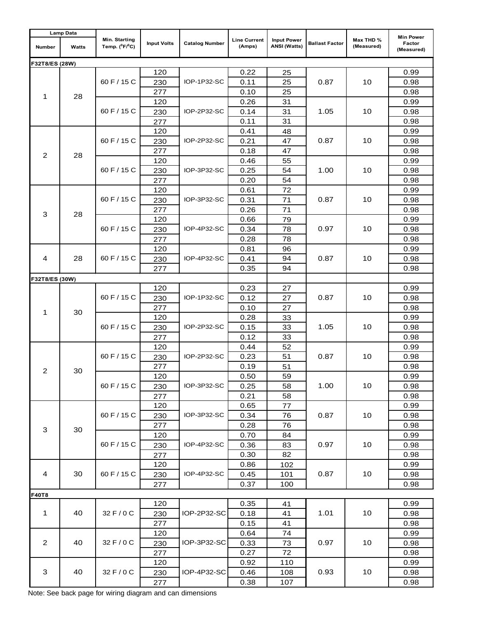| <b>Lamp Data</b>        |       |                                    |                    |                       |                               |                                           |                       |                         | <b>Min Power</b>     |
|-------------------------|-------|------------------------------------|--------------------|-----------------------|-------------------------------|-------------------------------------------|-----------------------|-------------------------|----------------------|
| Number                  | Watts | Min. Starting<br>Temp. $(^0F/^0C)$ | <b>Input Volts</b> | <b>Catalog Number</b> | <b>Line Current</b><br>(Amps) | <b>Input Power</b><br><b>ANSI (Watts)</b> | <b>Ballast Factor</b> | Max THD %<br>(Measured) | Factor<br>(Measured) |
| F32T8/ES (28W)          |       |                                    |                    |                       |                               |                                           |                       |                         |                      |
|                         |       |                                    | 120                |                       | 0.22                          | 25                                        |                       |                         | 0.99                 |
| 1                       |       | 60 F / 15 C                        | 230                | IOP-1P32-SC           | 0.11                          | 25                                        | 0.87                  | 10                      | 0.98                 |
|                         | 28    |                                    | 277                |                       | 0.10                          | 25                                        |                       |                         | 0.98                 |
|                         |       |                                    | 120                |                       | 0.26                          | 31                                        |                       | 10                      | 0.99                 |
|                         |       | 60 F / 15 C                        | 230                | IOP-2P32-SC           | 0.14                          | 31                                        | 1.05                  |                         | 0.98                 |
|                         |       |                                    | 277                |                       | 0.11                          | 31                                        |                       |                         | 0.98                 |
| $\overline{2}$          |       |                                    | 120                |                       | 0.41                          | 48                                        | 0.87                  |                         | 0.99                 |
|                         |       | 60 F / 15 C                        | 230                | IOP-2P32-SC           | 0.21                          | 47                                        |                       | 10                      | 0.98                 |
|                         | 28    |                                    | 277                |                       | 0.18                          | 47                                        |                       |                         | 0.98                 |
|                         |       |                                    | 120                |                       | 0.46                          | 55                                        |                       |                         | 0.99                 |
|                         |       | 60 F / 15 C                        | 230                | IOP-3P32-SC           | 0.25                          | 54                                        | 1.00                  | 10                      | 0.98                 |
|                         |       |                                    | 277                |                       | 0.20                          | 54                                        |                       |                         | 0.98                 |
|                         |       |                                    | 120                |                       | 0.61                          | 72                                        |                       |                         | 0.99                 |
|                         |       | 60 F $/$ 15 C                      | 230                | IOP-3P32-SC           | 0.31                          | 71                                        | 0.87                  | 10                      | 0.98                 |
| 3                       | 28    |                                    | 277                |                       | 0.26                          | 71                                        |                       |                         | 0.98                 |
|                         |       |                                    | 120                |                       | 0.66                          | 79                                        |                       | 10                      | 0.99                 |
|                         |       | 60 F / 15 C                        | 230                | IOP-4P32-SC           | 0.34                          | 78                                        | 0.97                  |                         | 0.98                 |
|                         |       |                                    | 277                |                       | 0.28                          | 78                                        |                       |                         | 0.98                 |
|                         |       |                                    | 120                |                       | 0.81                          | 96                                        | 0.87                  | 10                      | 0.99                 |
| 4                       | 28    | 60 F / 15 C                        | 230                | IOP-4P32-SC           | 0.41                          | 94                                        |                       |                         | 0.98                 |
|                         |       | 277                                |                    | 0.35                  | 94                            |                                           |                       | 0.98                    |                      |
| F32T8/ES (30W)          |       |                                    |                    |                       |                               |                                           |                       |                         |                      |
|                         | 30    |                                    | 120                |                       | 0.23                          | 27                                        |                       |                         | 0.99                 |
|                         |       | 60 F / 15 C                        | 230                | IOP-1P32-SC           | 0.12                          | 27                                        | 0.87                  | 10                      | 0.98                 |
| 1                       |       | 60 F / 15 C                        | 277                | IOP-2P32-SC           | 0.10                          | 27                                        | 1.05                  |                         | 0.98                 |
|                         |       |                                    | 120                |                       | 0.28                          | 33                                        |                       |                         | 0.99                 |
|                         |       |                                    | 230                |                       | 0.15                          | 33                                        |                       | 10                      | 0.98                 |
|                         |       |                                    | 277                |                       | 0.12                          | 33                                        |                       |                         | 0.98                 |
|                         | 30    | 60 F / 15 C                        | 120                | IOP-2P32-SC           | 0.44                          | 52                                        | 0.87                  | 10                      | 0.99                 |
|                         |       |                                    | 230                |                       | 0.23                          | 51                                        |                       |                         | 0.98                 |
| $\overline{\mathbf{c}}$ |       | 60 F / 15 C                        | 277                | IOP-3P32-SC           | 0.19<br>0.50                  | 51<br>59                                  | 1.00                  | 10                      | 0.98                 |
|                         |       |                                    | 120                |                       | 0.25                          | 58                                        |                       |                         | 0.99<br>0.98         |
|                         |       |                                    | 230<br>277         |                       | 0.21                          | 58                                        |                       |                         | 0.98                 |
|                         |       |                                    | 120                |                       |                               |                                           |                       |                         | 0.99                 |
|                         |       | 60 F / 15 C                        | 230                |                       | 0.65<br>77<br>0.34<br>76      | 0.87                                      | 10                    | 0.98                    |                      |
|                         |       |                                    | 277                | IOP-3P32-SC           | 0.28                          |                                           |                       |                         | 0.98                 |
| 3                       | 30    |                                    | 120                |                       | 0.70                          | 76<br>84                                  |                       | 0.99                    |                      |
|                         |       | 60 F / 15 C                        | 230                | IOP-4P32-SC           | 0.36                          | 83                                        | 0.97                  | 10                      | 0.98                 |
|                         |       |                                    | 277                |                       | 0.30                          | 82                                        |                       |                         | 0.98                 |
|                         |       |                                    | 120                |                       | 0.86                          | 102                                       |                       |                         | 0.99                 |
| 4                       | 30    | 60 F / 15 C                        | 230                | IOP-4P32-SC           | 0.45                          | 101                                       | 0.87                  | 10                      | 0.98                 |
|                         |       |                                    | 277                |                       | 0.37                          | 100                                       |                       |                         | 0.98                 |
|                         |       |                                    |                    |                       |                               |                                           |                       |                         |                      |
| F40T8                   |       |                                    | 120                |                       | 0.35                          | 41                                        |                       |                         | 0.99                 |
| 1                       | 40    | 32 F / 0 C                         | 230                | IOP-2P32-SC           | 0.18                          | 41                                        | 1.01                  | 10                      | 0.98                 |
|                         |       |                                    | 277                |                       | 0.15                          | 41                                        |                       |                         | 0.98                 |
|                         |       |                                    | 120                |                       | 0.64                          | 74                                        |                       |                         | 0.99                 |
| 2                       | 40    | 32 F / 0 C                         | 230                | IOP-3P32-SC           | 0.33                          | 73                                        | 0.97                  | 10                      | 0.98                 |
|                         |       |                                    | 277                |                       | 0.27                          | 72                                        |                       |                         | 0.98                 |
|                         |       |                                    | 120                |                       | 0.92                          | 110                                       |                       |                         | 0.99                 |
| 3                       | 40    | 32 F / 0 C                         | 230                | IOP-4P32-SC           | 0.46                          | 108                                       | 0.93                  | 10                      | 0.98                 |
|                         |       |                                    | 277                |                       | 0.38                          | 107                                       |                       |                         | 0.98                 |
|                         |       |                                    |                    |                       |                               |                                           |                       |                         |                      |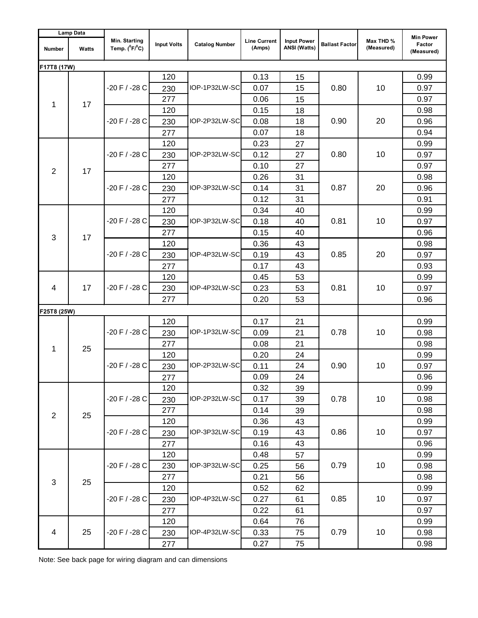| <b>Lamp Data</b> |              |                                    |                    |                       |                               |                                           |                       |                         |                                          |
|------------------|--------------|------------------------------------|--------------------|-----------------------|-------------------------------|-------------------------------------------|-----------------------|-------------------------|------------------------------------------|
| <b>Number</b>    | <b>Watts</b> | Min. Starting<br>Temp. $(^0F/^0C)$ | <b>Input Volts</b> | <b>Catalog Number</b> | <b>Line Current</b><br>(Amps) | <b>Input Power</b><br><b>ANSI</b> (Watts) | <b>Ballast Factor</b> | Max THD %<br>(Measured) | <b>Min Power</b><br>Factor<br>(Measured) |
| F17T8 (17W)      |              |                                    |                    |                       |                               |                                           |                       |                         |                                          |
| 1                |              |                                    | 120                | IOP-1P32LW-SC         | 0.13                          | 15                                        |                       |                         | 0.99                                     |
|                  |              | -20 F / -28 C                      | 230                |                       | 0.07                          | 15                                        | 0.80                  | 10                      | 0.97                                     |
|                  | 17           |                                    | 277                |                       | 0.06                          | 15                                        |                       |                         | 0.97                                     |
|                  |              |                                    | 120                |                       | 0.15                          | 18                                        |                       |                         | 0.98                                     |
|                  |              | -20 F / -28 C                      | 230                | IOP-2P32LW-SC         | 0.08                          | 18                                        | 0.90                  | 20                      | 0.96                                     |
|                  |              |                                    | 277                |                       | 0.07                          | 18                                        |                       |                         | 0.94                                     |
|                  |              |                                    | 120                |                       | 0.23                          | 27                                        |                       |                         | 0.99                                     |
|                  |              | -20 F / -28 C                      | 230                | IOP-2P32LW-SC         | 0.12                          | 27                                        | 0.80                  | 10                      | 0.97                                     |
| $\overline{2}$   | 17           |                                    | 277                |                       | 0.10                          | 27                                        |                       |                         | 0.97                                     |
|                  |              |                                    | 120                |                       | 0.26                          | 31                                        |                       |                         | 0.98                                     |
|                  |              | -20 F / -28 C                      | 230                | IOP-3P32LW-SC         | 0.14                          | 31                                        | 0.87                  | 20                      | 0.96                                     |
|                  |              |                                    | 277                |                       | 0.12                          | 31                                        |                       |                         | 0.91                                     |
|                  |              |                                    | 120                |                       | 0.34                          | 40                                        |                       | 10                      | 0.99                                     |
|                  |              | -20 F / -28 C                      | 230                | IOP-3P32LW-SC         | 0.18                          | 40                                        | 0.81                  |                         | 0.97                                     |
| 3                |              |                                    | 277                |                       | 0.15                          | 40                                        |                       |                         | 0.96                                     |
|                  | 17           | $-20$ F $/ -28$ C                  | 120                | IOP-4P32LW-SC         | 0.36                          | 43                                        | 0.85                  | 20                      | 0.98                                     |
|                  |              |                                    | 230                |                       | 0.19                          | 43                                        |                       |                         | 0.97                                     |
|                  |              |                                    | 277                |                       | 0.17                          | 43                                        |                       |                         | 0.93                                     |
|                  | 17           |                                    | 120                | IOP-4P32LW-SC         | 0.45                          | 53                                        |                       |                         | 0.99                                     |
| 4                |              | -20 F / -28 C                      | 230                |                       | 0.23                          | 53                                        | 0.81                  | 10                      | 0.97                                     |
|                  |              |                                    | 277                |                       | 0.20                          | 53                                        |                       |                         | 0.96                                     |
| F25T8 (25W)      |              |                                    |                    |                       |                               |                                           |                       |                         |                                          |
|                  | 25           | $-20 F / -28 C$                    | 120                | IOP-1P32LW-SC         | 0.17                          | 21                                        | 0.78                  |                         | 0.99                                     |
|                  |              |                                    | 230                |                       | 0.09                          | 21                                        |                       | 10                      | 0.98                                     |
| 1                |              |                                    | 277                |                       | 0.08                          | 21                                        |                       |                         | 0.98                                     |
|                  |              | -20 F / -28 C                      | 120                | IOP-2P32LW-SC         | 0.20                          | 24                                        | 0.90                  | 10                      | 0.99                                     |
|                  |              |                                    | 230                |                       | 0.11                          | 24                                        |                       |                         | 0.97                                     |
|                  |              |                                    | 277                |                       | 0.09                          | 24                                        |                       |                         | 0.96                                     |
|                  |              |                                    | 120                |                       | 0.32                          | 39                                        |                       | 10                      | 0.99                                     |
|                  |              | -20 F / -28 C                      | 230                | IOP-2P32LW-SC         | 0.17                          | 39                                        | 0.78                  |                         | 0.98                                     |
| $\overline{2}$   | 25           |                                    | 277                |                       | 0.14                          | 39                                        |                       |                         | 0.98                                     |
|                  |              |                                    | 120                |                       | 0.36                          | 43                                        |                       |                         | 0.99                                     |
|                  |              | -20 F / -28 C                      | 230                | IOP-3P32LW-SC         | 0.19                          | 43                                        | 0.86                  | 10                      | 0.97                                     |
|                  |              |                                    | 277                |                       | 0.16                          | 43                                        |                       |                         | 0.96                                     |
|                  |              |                                    | 120                |                       | 0.48                          | 57                                        |                       |                         | 0.99                                     |
|                  |              | $-20 F / -28 C$                    | 230                | IOP-3P32LW-SC         | 0.25                          | 56                                        | 0.79                  | 10                      | 0.98                                     |
| $\mathbf{3}$     |              |                                    | 277                |                       | 0.21                          | 56                                        |                       |                         | 0.98                                     |
|                  | 25           |                                    | 120                |                       | 0.52                          | 62                                        |                       |                         | 0.99                                     |
|                  |              | -20 F / -28 C                      | 230                | IOP-4P32LW-SC         | 0.27                          | 61                                        | 0.85                  | 10                      | 0.97                                     |
|                  |              |                                    | 277                |                       | 0.22                          | 61                                        |                       |                         | 0.97                                     |
|                  |              |                                    | 120                |                       | 0.64                          | 76                                        |                       |                         | 0.99                                     |
| 4                | 25           | $-20 F / -28 C$                    | 230                | IOP-4P32LW-SC         | 0.33                          | 75                                        | 0.79                  | 10                      | 0.98                                     |
|                  |              |                                    | 277                |                       | 0.27                          | 75                                        |                       |                         | 0.98                                     |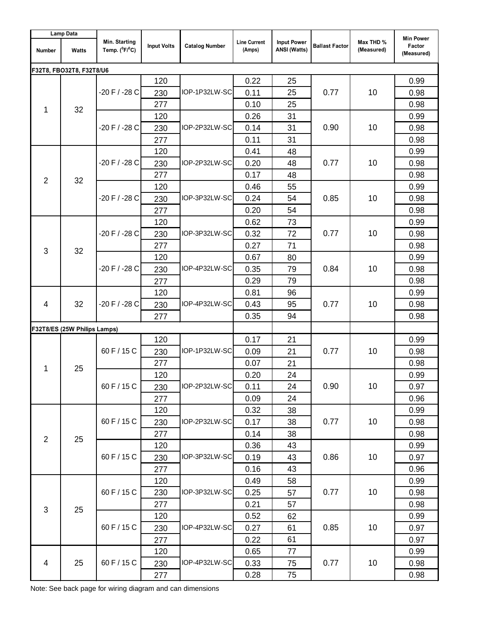| Lamp Data      |                              |                                    |                    |                                |                               |                                           |                       |                         |                                          |
|----------------|------------------------------|------------------------------------|--------------------|--------------------------------|-------------------------------|-------------------------------------------|-----------------------|-------------------------|------------------------------------------|
| <b>Number</b>  | <b>Watts</b>                 | Min. Starting<br>Temp. $(^0F/^0C)$ | <b>Input Volts</b> | <b>Catalog Number</b>          | <b>Line Current</b><br>(Amps) | <b>Input Power</b><br><b>ANSI (Watts)</b> | <b>Ballast Factor</b> | Max THD %<br>(Measured) | <b>Min Power</b><br>Factor<br>(Measured) |
|                | F32T8, FBO32T8, F32T8/U6     |                                    |                    |                                |                               |                                           |                       |                         |                                          |
| 1              |                              |                                    | 120                |                                | 0.22                          | 25                                        |                       |                         | 0.99                                     |
|                |                              | $-20 F / -28 C$                    | 230                | IOP-1P32LW-SC                  | 0.11                          | 25                                        | 0.77                  | 10                      | 0.98                                     |
|                | 32                           |                                    | 277                |                                | 0.10                          | 25                                        |                       |                         | 0.98                                     |
|                |                              |                                    | 120                |                                | 0.26                          | 31                                        |                       |                         | 0.99                                     |
|                |                              | $-20 F / -28 C$                    | 230                | IOP-2P32LW-SC                  | 0.14                          | 31                                        | 0.90                  | 10                      | 0.98                                     |
|                |                              |                                    | 277                |                                | 0.11                          | 31                                        |                       |                         | 0.98                                     |
|                |                              |                                    | 120                |                                | 0.41                          | 48                                        |                       |                         | 0.99                                     |
|                |                              | -20 F / -28 C                      | 230                | IOP-2P32LW-SC                  | 0.20                          | 48                                        | 0.77                  | 10                      | 0.98                                     |
| $\overline{2}$ | 32                           |                                    | 277                |                                | 0.17                          | 48                                        |                       |                         | 0.98                                     |
|                |                              |                                    | 120                |                                | 0.46                          | 55                                        |                       |                         | 0.99                                     |
|                |                              | $-20$ F / $-28$ C                  | 230                | IOP-3P32LW-SC                  | 0.24                          | 54                                        | 0.85                  | 10                      | 0.98                                     |
|                |                              |                                    | 277                |                                | 0.20                          | 54                                        |                       |                         | 0.98                                     |
|                |                              |                                    | 120                |                                | 0.62                          | 73                                        |                       | 10                      | 0.99                                     |
|                |                              | $-20$ F $/ -28$ C                  | 230                | IOP-3P32LW-SC                  | 0.32                          | 72                                        | 0.77                  |                         | 0.98                                     |
| 3              | 32                           |                                    | 277                |                                | 0.27                          | 71                                        |                       |                         | 0.98                                     |
|                |                              | $-20 F / -28 C$                    | 120                | IOP-4P32LW-SC                  | 0.67                          | 80                                        | 0.84                  | 10                      | 0.99                                     |
|                |                              |                                    | 230                |                                | 0.35                          | 79                                        |                       |                         | 0.98                                     |
|                |                              |                                    | 277                |                                | 0.29                          | 79                                        |                       |                         | 0.98                                     |
|                | 32                           |                                    | 120                |                                | 0.81                          | 96                                        |                       |                         | 0.99                                     |
| 4              |                              | $-20 F / -28 C$                    | 230                | IOP-4P32LW-SC                  | 0.43                          | 95                                        | 0.77                  | 10                      | 0.98                                     |
|                |                              |                                    | 277                |                                | 0.35                          | 94                                        |                       |                         | 0.98                                     |
|                | F32T8/ES (25W Philips Lamps) |                                    |                    |                                |                               |                                           |                       |                         |                                          |
|                |                              | 60 F / 15 C<br>60 F / 15 C         | 120                | IOP-1P32LW-SC<br>IOP-2P32LW-SC | 0.17                          | 21                                        | 0.77<br>0.90          | 10<br>10                | 0.99                                     |
|                | 25                           |                                    | 230                |                                | 0.09                          | 21                                        |                       |                         | 0.98                                     |
| 1              |                              |                                    | 277                |                                | 0.07                          | 21                                        |                       |                         | 0.98                                     |
|                |                              |                                    | 120                |                                | 0.20                          | 24                                        |                       |                         | 0.99                                     |
|                |                              |                                    | 230                |                                | 0.11                          | 24                                        |                       |                         | 0.97                                     |
|                |                              |                                    | 277                |                                | 0.09                          | 24                                        |                       |                         | 0.96                                     |
|                |                              |                                    | 120                |                                | 0.32                          | 38                                        |                       |                         | 0.99                                     |
|                |                              | 60 F / 15 C                        | 230                | IOP-2P32LW-SC                  | 0.17                          | 38                                        | 0.77                  | 10                      | 0.98                                     |
| $\overline{2}$ | 25                           |                                    | 277                |                                | 0.14                          | 38                                        |                       |                         | 0.98                                     |
|                |                              |                                    | 120                |                                | 0.36                          | 43                                        |                       |                         | 0.99                                     |
|                |                              | 60 F / 15 C                        | 230                | IOP-3P32LW-SC                  | 0.19                          | 43                                        | 0.86                  | 10                      | 0.97                                     |
|                |                              |                                    | 277                |                                | 0.16                          | 43                                        |                       |                         | 0.96                                     |
|                |                              |                                    | 120                |                                | 0.49                          | 58                                        |                       |                         | 0.99                                     |
|                |                              | 60 F / 15 C                        | 230                | IOP-3P32LW-SC                  | 0.25                          | 57                                        | 0.77                  | 10                      | 0.98                                     |
| $\mathfrak{Z}$ | 25                           |                                    | 277                |                                | 0.21                          | 57                                        |                       |                         | 0.98                                     |
|                |                              |                                    | 120                |                                | 0.52                          | 62                                        |                       |                         | 0.99                                     |
|                |                              | 60 F / 15 C                        | 230                | IOP-4P32LW-SC                  | 0.27                          | 61                                        | 0.85                  | 10                      | 0.97                                     |
|                |                              |                                    | 277                |                                | 0.22                          | 61                                        |                       |                         | 0.97                                     |
|                |                              |                                    | 120                |                                | 0.65                          | 77                                        |                       |                         | 0.99                                     |
| $\overline{4}$ | 25                           | 60 F / 15 C                        | 230                | IOP-4P32LW-SC                  | 0.33                          | 75                                        | 0.77                  | 10                      | 0.98                                     |
|                |                              |                                    | 277                |                                | 0.28                          | 75                                        |                       |                         | 0.98                                     |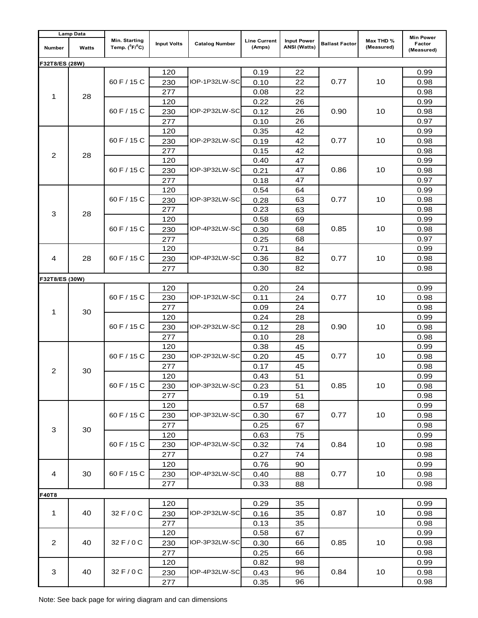| <b>Lamp Data</b> |       |                                    |                    |                       |                               |                                           |                       |                         |                                          |
|------------------|-------|------------------------------------|--------------------|-----------------------|-------------------------------|-------------------------------------------|-----------------------|-------------------------|------------------------------------------|
| Number           | Watts | Min. Starting<br>Temp. $(^0F/^0C)$ | <b>Input Volts</b> | <b>Catalog Number</b> | <b>Line Current</b><br>(Amps) | <b>Input Power</b><br><b>ANSI (Watts)</b> | <b>Ballast Factor</b> | Max THD %<br>(Measured) | <b>Min Power</b><br>Factor<br>(Measured) |
| F32T8/ES (28W)   |       |                                    |                    |                       |                               |                                           |                       |                         |                                          |
|                  |       |                                    | 120                |                       | 0.19                          | 22                                        |                       |                         | 0.99                                     |
| 1                |       | 60 F / 15 C                        | 230                | IOP-1P32LW-SC         | 0.10                          | 22                                        | 0.77                  | 10                      | 0.98                                     |
|                  | 28    |                                    | 277                |                       | 0.08                          | 22                                        |                       |                         | 0.98                                     |
|                  |       |                                    | 120                |                       | 0.22                          | 26                                        |                       | 10                      | 0.99                                     |
|                  |       | 60 F / 15 C                        | 230                | IOP-2P32LW-SC         | 0.12                          | 26                                        | 0.90                  |                         | 0.98                                     |
|                  |       |                                    | 277                |                       | 0.10                          | 26                                        |                       |                         | 0.97                                     |
|                  |       |                                    | 120                |                       | 0.35                          | 42                                        |                       |                         | 0.99                                     |
|                  |       | 60 F / 15 C                        | 230                | IOP-2P32LW-SC         | 0.19                          | 42                                        | 0.77                  | 10                      | 0.98                                     |
| 2                | 28    |                                    | 277                |                       | 0.15                          | 42                                        |                       |                         | 0.98                                     |
|                  |       |                                    | 120                |                       | 0.40                          | 47                                        |                       |                         | 0.99                                     |
|                  |       | 60 F / 15 C                        | 230                | IOP-3P32LW-SC         | 0.21                          | 47                                        | 0.86                  | 10                      | 0.98                                     |
|                  |       |                                    | 277                |                       | 0.18                          | 47                                        |                       |                         | 0.97                                     |
|                  |       |                                    | 120                |                       | 0.54                          | 64                                        |                       |                         | 0.99                                     |
|                  |       | 60 F / 15 C                        | 230                | IOP-3P32LW-SC         | 0.28                          | 63                                        | 0.77                  | 10                      | 0.98                                     |
| 3                | 28    |                                    | 277                |                       | 0.23                          | 63                                        |                       |                         | 0.98                                     |
|                  |       |                                    | 120                |                       | 0.58                          | 69                                        |                       | 10                      | 0.99                                     |
|                  |       | 60 F $/$ 15 C                      | 230                | IOP-4P32LW-SC         | 0.30                          | 68                                        | 0.85                  |                         | 0.98                                     |
|                  |       |                                    | 277                |                       | 0.25                          | 68                                        |                       |                         | 0.97                                     |
|                  |       |                                    | 120                |                       | 0.71                          | 84                                        | 0.77                  | 10                      | 0.99                                     |
| 4                | 28    | 60 F / 15 C                        | 230                | IOP-4P32LW-SC         | 0.36                          | 82                                        |                       |                         | 0.98                                     |
|                  |       |                                    | 277                |                       | 0.30                          | 82                                        |                       |                         | 0.98                                     |
| F32T8/ES (30W)   |       |                                    |                    |                       |                               |                                           |                       |                         |                                          |
|                  | 30    | 60 F / 15 C                        | 120                | IOP-1P32LW-SC         | 0.20                          | 24                                        |                       |                         | 0.99                                     |
|                  |       |                                    | 230                |                       | 0.11                          | 24                                        | 0.77                  | 10                      | 0.98                                     |
| 1                |       |                                    | 277                |                       | 0.09                          | 24                                        |                       |                         | 0.98                                     |
|                  |       | 60 F / 15 C                        | 120                | IOP-2P32LW-SC         | 0.24                          | 28                                        | 0.90                  |                         | 0.99                                     |
|                  |       |                                    | 230                |                       | 0.12                          | 28                                        |                       | 10                      | 0.98                                     |
|                  |       |                                    | 277                |                       | 0.10                          | 28                                        |                       |                         | 0.98                                     |
|                  | 30    | 60 F / 15 C                        | 120                | IOP-2P32LW-SC         | 0.38                          | 45                                        | 0.77                  | 10                      | 0.99                                     |
|                  |       |                                    | 230                |                       | 0.20                          | 45                                        |                       |                         | 0.98                                     |
| $\overline{2}$   |       |                                    | 277                |                       | 0.17                          | 45                                        |                       |                         | 0.98                                     |
|                  |       | 60 F / 15 C                        | 120                | IOP-3P32LW-SC         | 0.43                          | 51                                        | 0.85                  | 10                      | 0.99                                     |
|                  |       |                                    | 230                |                       | 0.23                          | 51                                        |                       |                         | 0.98                                     |
|                  |       |                                    | 277                |                       | 0.19<br>51                    |                                           | 0.98                  |                         |                                          |
|                  |       | 60 F / 15 C                        | 120                |                       | 68<br>0.57                    |                                           | 0.99                  |                         |                                          |
|                  |       |                                    | 230                | IOP-3P32LW-SC         | 0.30                          | 67                                        | 0.77                  | 10                      | 0.98                                     |
| 3                | 30    |                                    | 277                |                       | 0.25<br>67                    |                                           |                       | 0.98                    |                                          |
|                  |       |                                    | 120                |                       | 0.63                          | 75                                        |                       |                         | 0.99                                     |
|                  |       | 60 F / 15 C                        | 230                | IOP-4P32LW-SC         | 0.32                          | 74                                        | 0.84                  | 10                      | 0.98                                     |
|                  |       |                                    | 277                |                       | 0.27                          | 74                                        |                       |                         | 0.98                                     |
|                  |       |                                    | 120                |                       | 0.76                          | 90                                        |                       |                         | 0.99                                     |
| 4                | 30    | 60 F / 15 C                        | 230                | IOP-4P32LW-SC         | 0.40                          | 88                                        | 0.77                  | 10                      | 0.98                                     |
|                  |       |                                    | 277                |                       | 0.33                          | 88                                        |                       |                         | 0.98                                     |
| F40T8            |       |                                    |                    |                       |                               |                                           |                       |                         |                                          |
|                  |       |                                    | 120                |                       | 0.29                          | 35                                        |                       |                         | 0.99                                     |
| 1                | 40    | 32 F / 0 C                         | 230                | IOP-2P32LW-SC         | 0.16                          | 35                                        | 0.87                  | 10                      | 0.98                                     |
|                  |       |                                    | 277                |                       | 0.13                          | 35                                        |                       |                         | 0.98                                     |
|                  |       |                                    | 120                |                       | 0.58                          | 67                                        |                       |                         | 0.99                                     |
| $\overline{2}$   | 40    | 32 F/0 C                           | 230                | IOP-3P32LW-SC         | 0.30                          | 66                                        | 0.85                  | 10                      | 0.98                                     |
|                  |       |                                    | 277                |                       | 0.25                          | 66                                        |                       |                         | 0.98                                     |
|                  |       |                                    | 120                |                       | 0.82                          | 98                                        |                       |                         | 0.99                                     |
| 3                | 40    | 32 F / 0 C                         | 230                | IOP-4P32LW-SC         | 0.43                          | 96                                        | 0.84                  | 10                      | 0.98                                     |
|                  |       |                                    | 277                |                       | 0.35                          | 96                                        |                       |                         | 0.98                                     |